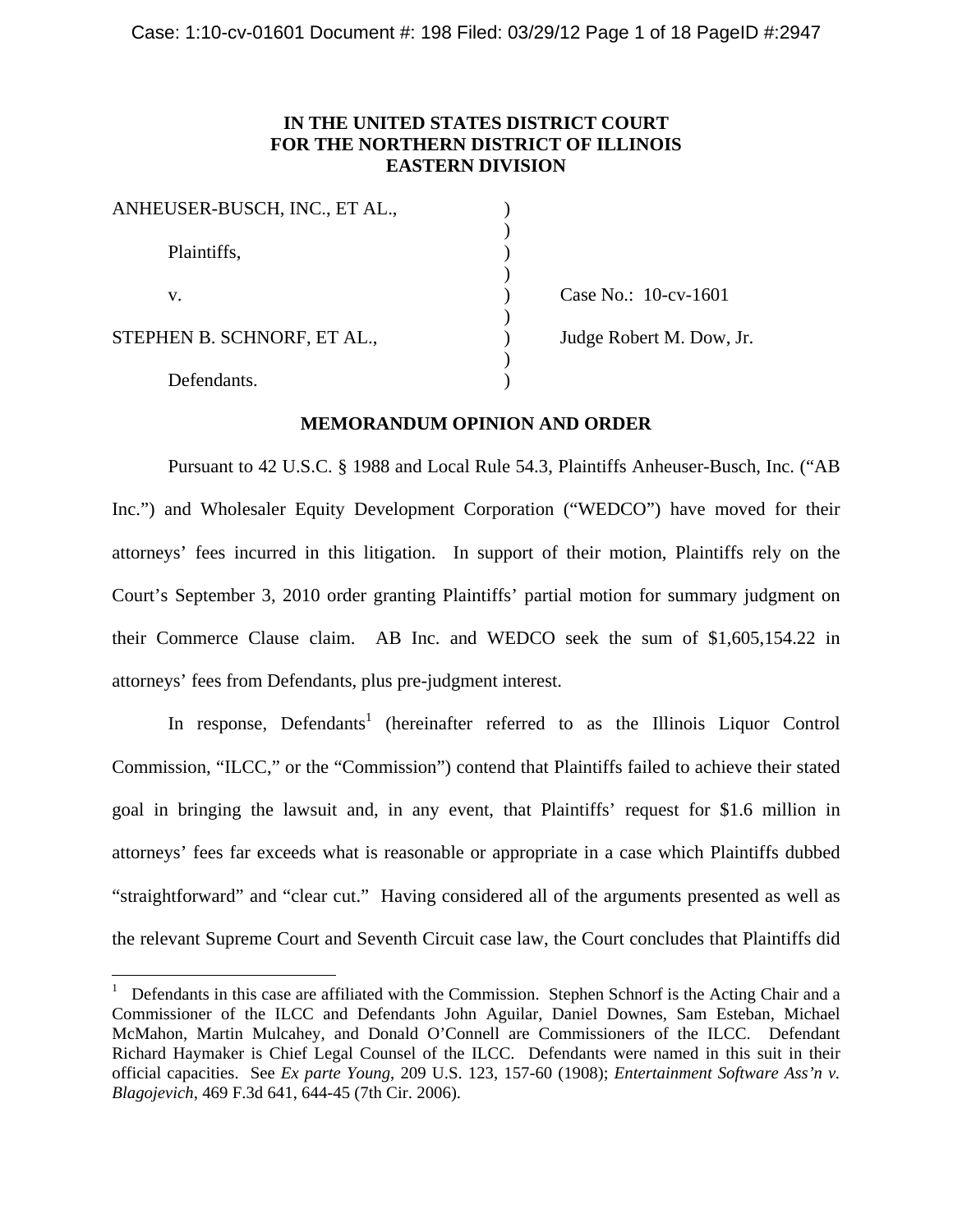# **IN THE UNITED STATES DISTRICT COURT FOR THE NORTHERN DISTRICT OF ILLINOIS EASTERN DIVISION**

| Case No.: 10-cv-1601     |
|--------------------------|
|                          |
| Judge Robert M. Dow, Jr. |
|                          |
|                          |
|                          |

# **MEMORANDUM OPINION AND ORDER**

Pursuant to 42 U.S.C. § 1988 and Local Rule 54.3, Plaintiffs Anheuser-Busch, Inc. ("AB Inc.") and Wholesaler Equity Development Corporation ("WEDCO") have moved for their attorneys' fees incurred in this litigation. In support of their motion, Plaintiffs rely on the Court's September 3, 2010 order granting Plaintiffs' partial motion for summary judgment on their Commerce Clause claim. AB Inc. and WEDCO seek the sum of \$1,605,154.22 in attorneys' fees from Defendants, plus pre-judgment interest.

In response, Defendants<sup>1</sup> (hereinafter referred to as the Illinois Liquor Control Commission, "ILCC," or the "Commission") contend that Plaintiffs failed to achieve their stated goal in bringing the lawsuit and, in any event, that Plaintiffs' request for \$1.6 million in attorneys' fees far exceeds what is reasonable or appropriate in a case which Plaintiffs dubbed "straightforward" and "clear cut." Having considered all of the arguments presented as well as the relevant Supreme Court and Seventh Circuit case law, the Court concludes that Plaintiffs did

 $\overline{a}$ 

<sup>1</sup> Defendants in this case are affiliated with the Commission. Stephen Schnorf is the Acting Chair and a Commissioner of the ILCC and Defendants John Aguilar, Daniel Downes, Sam Esteban, Michael McMahon, Martin Mulcahey, and Donald O'Connell are Commissioners of the ILCC. Defendant Richard Haymaker is Chief Legal Counsel of the ILCC. Defendants were named in this suit in their official capacities. See *Ex parte Young*, 209 U.S. 123, 157-60 (1908); *Entertainment Software Ass'n v. Blagojevich*, 469 F.3d 641, 644-45 (7th Cir. 2006).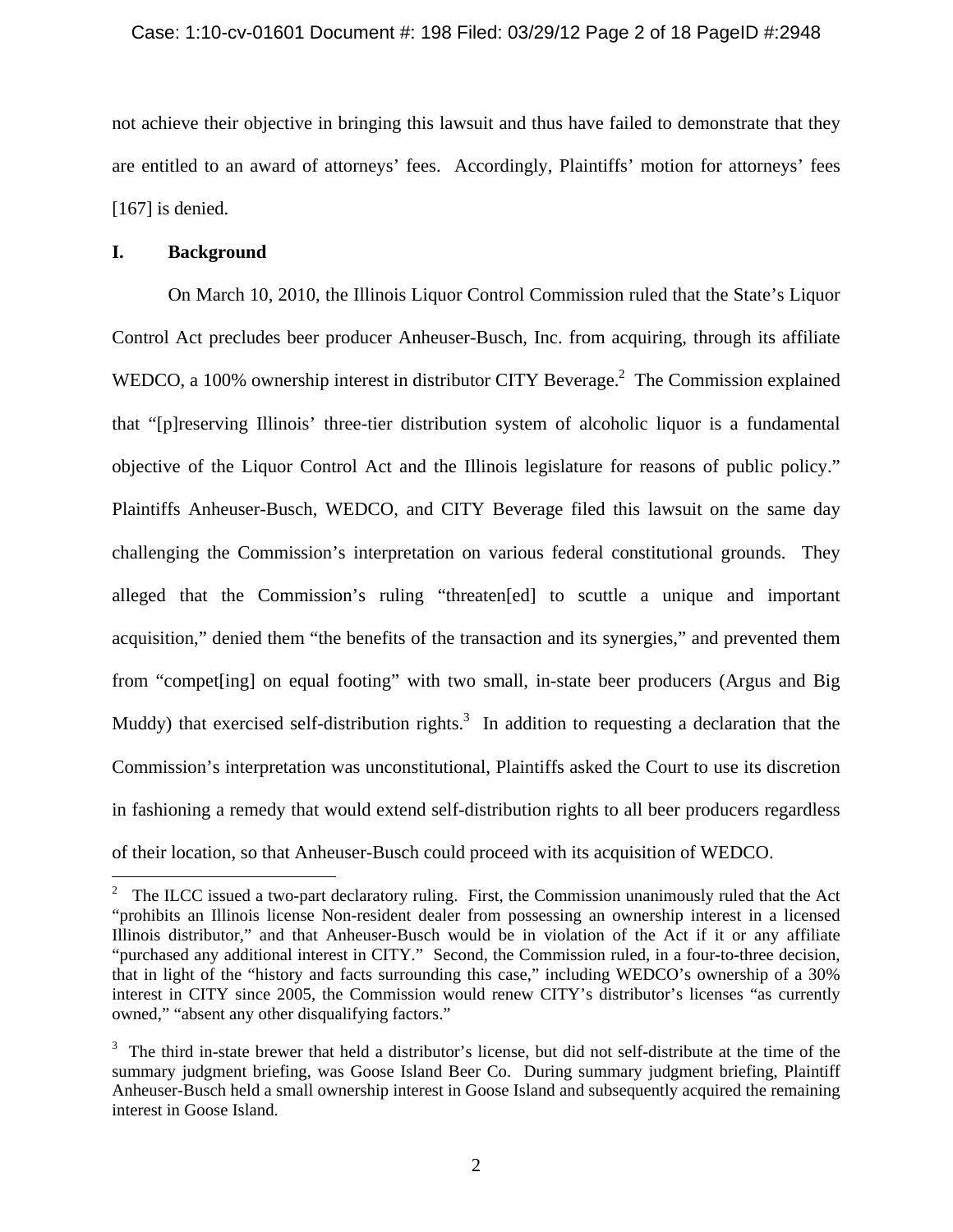### Case: 1:10-cv-01601 Document #: 198 Filed: 03/29/12 Page 2 of 18 PageID #:2948

not achieve their objective in bringing this lawsuit and thus have failed to demonstrate that they are entitled to an award of attorneys' fees. Accordingly, Plaintiffs' motion for attorneys' fees [167] is denied.

## **I. Background**

 $\overline{a}$ 

On March 10, 2010, the Illinois Liquor Control Commission ruled that the State's Liquor Control Act precludes beer producer Anheuser-Busch, Inc. from acquiring, through its affiliate WEDCO, a 100% ownership interest in distributor CITY Beverage.<sup>2</sup> The Commission explained that "[p]reserving Illinois' three-tier distribution system of alcoholic liquor is a fundamental objective of the Liquor Control Act and the Illinois legislature for reasons of public policy." Plaintiffs Anheuser-Busch, WEDCO, and CITY Beverage filed this lawsuit on the same day challenging the Commission's interpretation on various federal constitutional grounds. They alleged that the Commission's ruling "threaten[ed] to scuttle a unique and important acquisition," denied them "the benefits of the transaction and its synergies," and prevented them from "compet[ing] on equal footing" with two small, in-state beer producers (Argus and Big Muddy) that exercised self-distribution rights.<sup>3</sup> In addition to requesting a declaration that the Commission's interpretation was unconstitutional, Plaintiffs asked the Court to use its discretion in fashioning a remedy that would extend self-distribution rights to all beer producers regardless of their location, so that Anheuser-Busch could proceed with its acquisition of WEDCO.

<sup>&</sup>lt;sup>2</sup> The ILCC issued a two-part declaratory ruling. First, the Commission unanimously ruled that the Act "prohibits an Illinois license Non-resident dealer from possessing an ownership interest in a licensed Illinois distributor," and that Anheuser-Busch would be in violation of the Act if it or any affiliate "purchased any additional interest in CITY." Second, the Commission ruled, in a four-to-three decision, that in light of the "history and facts surrounding this case," including WEDCO's ownership of a 30% interest in CITY since 2005, the Commission would renew CITY's distributor's licenses "as currently owned," "absent any other disqualifying factors."

<sup>&</sup>lt;sup>3</sup> The third in-state brewer that held a distributor's license, but did not self-distribute at the time of the summary judgment briefing, was Goose Island Beer Co. During summary judgment briefing, Plaintiff Anheuser-Busch held a small ownership interest in Goose Island and subsequently acquired the remaining interest in Goose Island.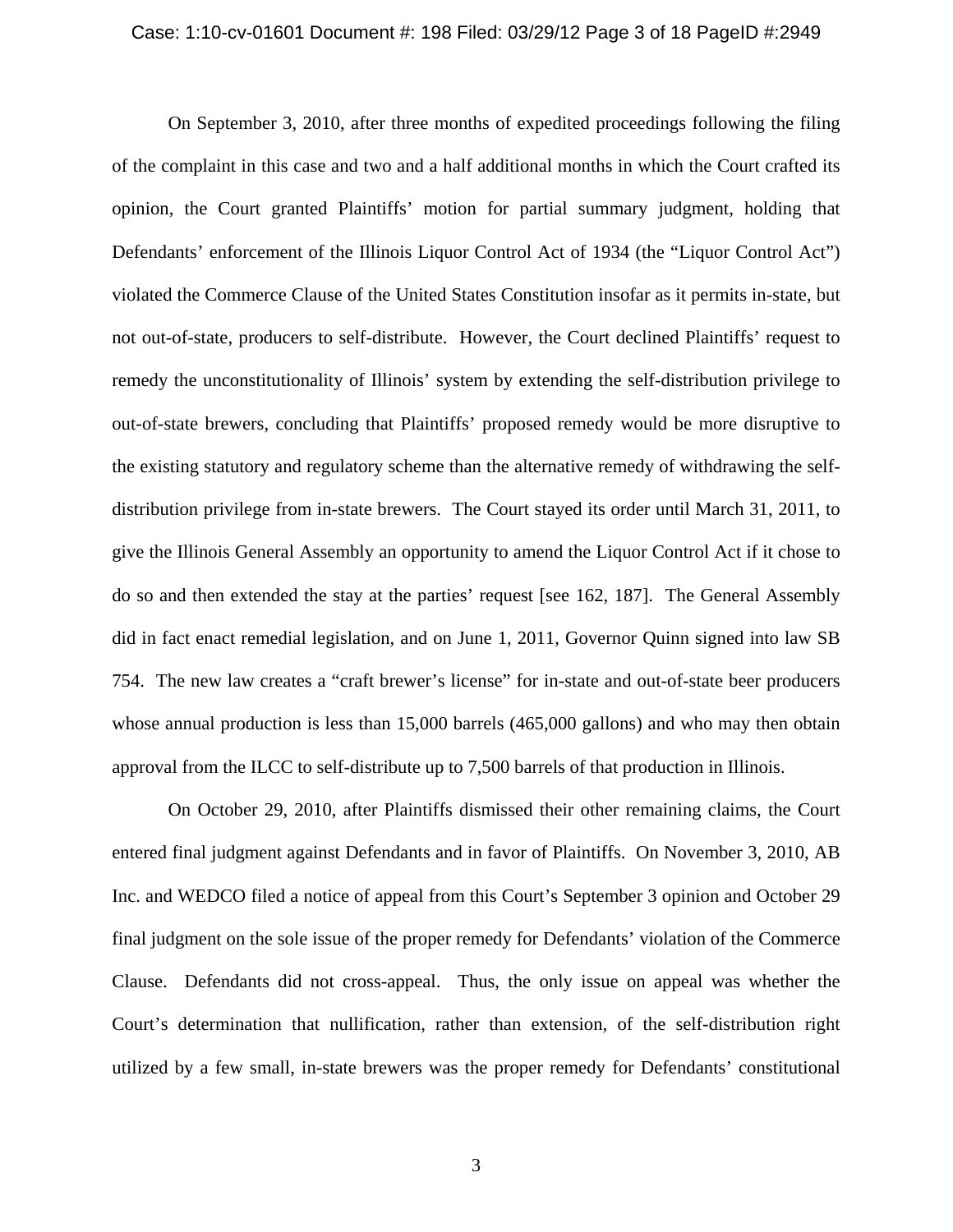#### Case: 1:10-cv-01601 Document #: 198 Filed: 03/29/12 Page 3 of 18 PageID #:2949

On September 3, 2010, after three months of expedited proceedings following the filing of the complaint in this case and two and a half additional months in which the Court crafted its opinion, the Court granted Plaintiffs' motion for partial summary judgment, holding that Defendants' enforcement of the Illinois Liquor Control Act of 1934 (the "Liquor Control Act") violated the Commerce Clause of the United States Constitution insofar as it permits in-state, but not out-of-state, producers to self-distribute. However, the Court declined Plaintiffs' request to remedy the unconstitutionality of Illinois' system by extending the self-distribution privilege to out-of-state brewers, concluding that Plaintiffs' proposed remedy would be more disruptive to the existing statutory and regulatory scheme than the alternative remedy of withdrawing the selfdistribution privilege from in-state brewers. The Court stayed its order until March 31, 2011, to give the Illinois General Assembly an opportunity to amend the Liquor Control Act if it chose to do so and then extended the stay at the parties' request [see 162, 187]. The General Assembly did in fact enact remedial legislation, and on June 1, 2011, Governor Quinn signed into law SB 754. The new law creates a "craft brewer's license" for in-state and out-of-state beer producers whose annual production is less than 15,000 barrels (465,000 gallons) and who may then obtain approval from the ILCC to self-distribute up to 7,500 barrels of that production in Illinois.

On October 29, 2010, after Plaintiffs dismissed their other remaining claims, the Court entered final judgment against Defendants and in favor of Plaintiffs. On November 3, 2010, AB Inc. and WEDCO filed a notice of appeal from this Court's September 3 opinion and October 29 final judgment on the sole issue of the proper remedy for Defendants' violation of the Commerce Clause. Defendants did not cross-appeal. Thus, the only issue on appeal was whether the Court's determination that nullification, rather than extension, of the self-distribution right utilized by a few small, in-state brewers was the proper remedy for Defendants' constitutional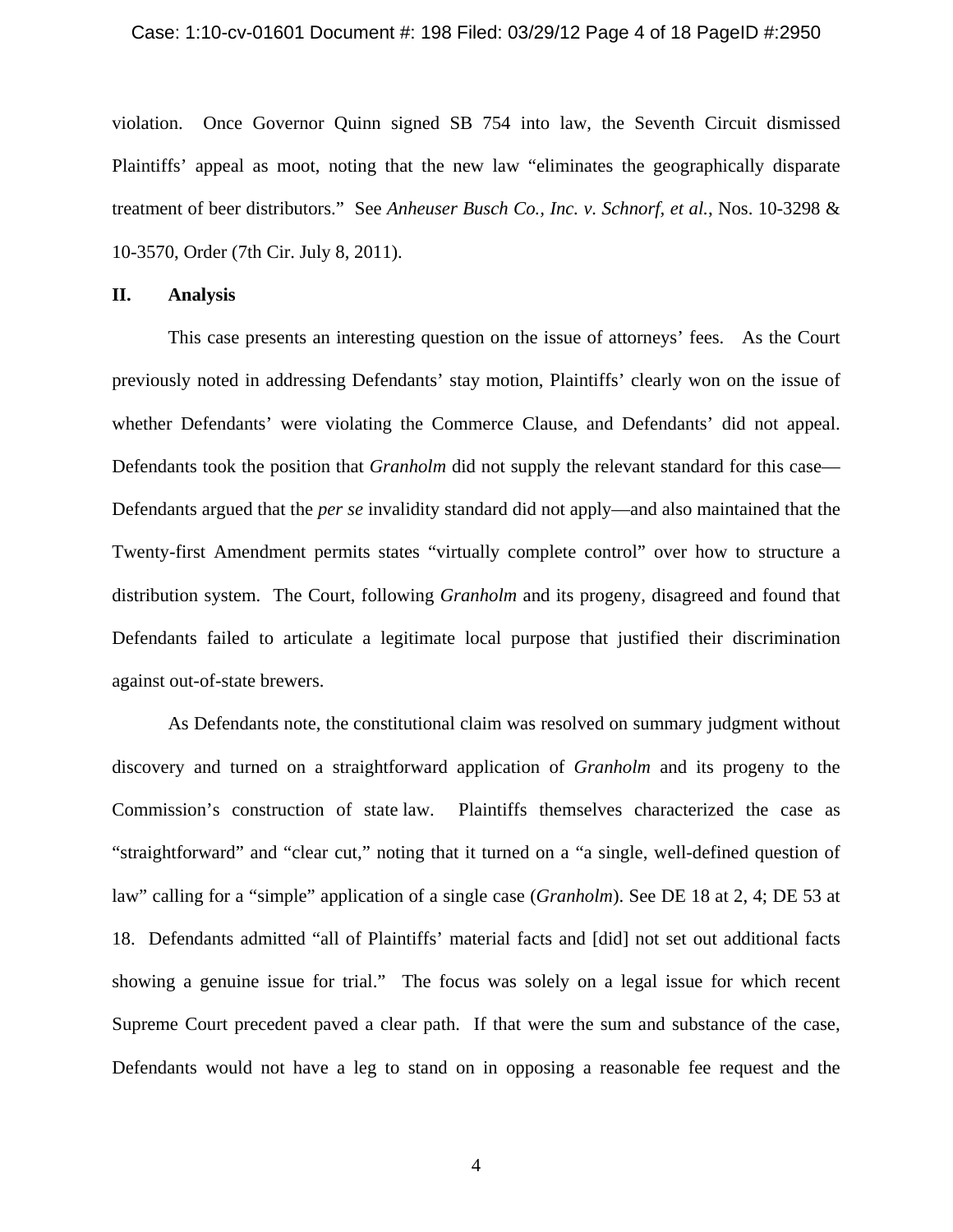### Case: 1:10-cv-01601 Document #: 198 Filed: 03/29/12 Page 4 of 18 PageID #:2950

violation. Once Governor Quinn signed SB 754 into law, the Seventh Circuit dismissed Plaintiffs' appeal as moot, noting that the new law "eliminates the geographically disparate treatment of beer distributors." See *Anheuser Busch Co., Inc. v. Schnorf, et al.*, Nos. 10-3298 & 10-3570, Order (7th Cir. July 8, 2011).

## **II. Analysis**

This case presents an interesting question on the issue of attorneys' fees. As the Court previously noted in addressing Defendants' stay motion, Plaintiffs' clearly won on the issue of whether Defendants' were violating the Commerce Clause, and Defendants' did not appeal. Defendants took the position that *Granholm* did not supply the relevant standard for this case— Defendants argued that the *per se* invalidity standard did not apply—and also maintained that the Twenty-first Amendment permits states "virtually complete control" over how to structure a distribution system. The Court, following *Granholm* and its progeny, disagreed and found that Defendants failed to articulate a legitimate local purpose that justified their discrimination against out-of-state brewers.

As Defendants note, the constitutional claim was resolved on summary judgment without discovery and turned on a straightforward application of *Granholm* and its progeny to the Commission's construction of state law. Plaintiffs themselves characterized the case as "straightforward" and "clear cut," noting that it turned on a "a single, well-defined question of law" calling for a "simple" application of a single case (*Granholm*). See DE 18 at 2, 4; DE 53 at 18. Defendants admitted "all of Plaintiffs' material facts and [did] not set out additional facts showing a genuine issue for trial." The focus was solely on a legal issue for which recent Supreme Court precedent paved a clear path. If that were the sum and substance of the case, Defendants would not have a leg to stand on in opposing a reasonable fee request and the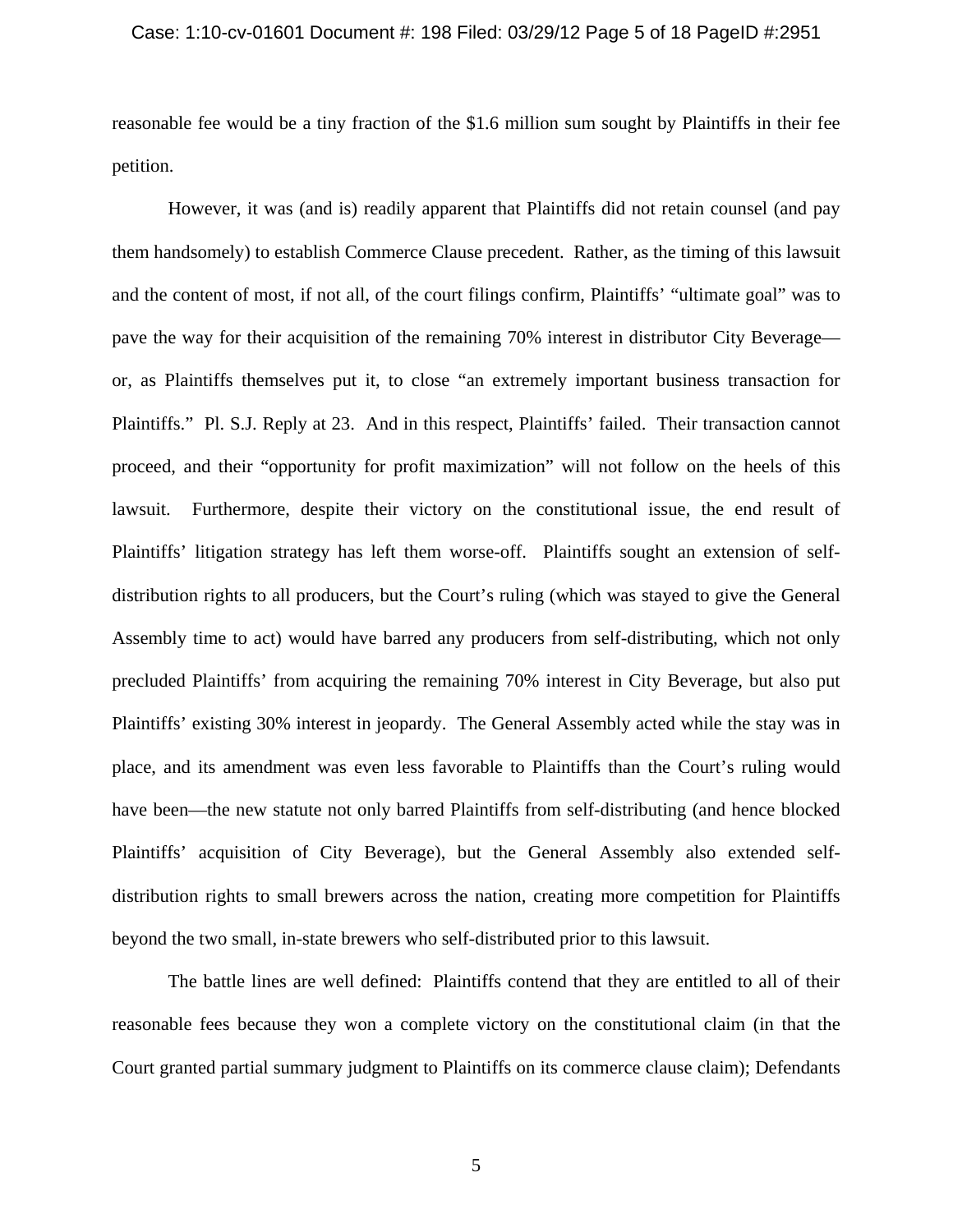## Case: 1:10-cv-01601 Document #: 198 Filed: 03/29/12 Page 5 of 18 PageID #:2951

reasonable fee would be a tiny fraction of the \$1.6 million sum sought by Plaintiffs in their fee petition.

However, it was (and is) readily apparent that Plaintiffs did not retain counsel (and pay them handsomely) to establish Commerce Clause precedent. Rather, as the timing of this lawsuit and the content of most, if not all, of the court filings confirm, Plaintiffs' "ultimate goal" was to pave the way for their acquisition of the remaining 70% interest in distributor City Beverage or, as Plaintiffs themselves put it, to close "an extremely important business transaction for Plaintiffs." Pl. S.J. Reply at 23. And in this respect, Plaintiffs' failed. Their transaction cannot proceed, and their "opportunity for profit maximization" will not follow on the heels of this lawsuit. Furthermore, despite their victory on the constitutional issue, the end result of Plaintiffs' litigation strategy has left them worse-off. Plaintiffs sought an extension of selfdistribution rights to all producers, but the Court's ruling (which was stayed to give the General Assembly time to act) would have barred any producers from self-distributing, which not only precluded Plaintiffs' from acquiring the remaining 70% interest in City Beverage, but also put Plaintiffs' existing 30% interest in jeopardy. The General Assembly acted while the stay was in place, and its amendment was even less favorable to Plaintiffs than the Court's ruling would have been—the new statute not only barred Plaintiffs from self-distributing (and hence blocked Plaintiffs' acquisition of City Beverage), but the General Assembly also extended selfdistribution rights to small brewers across the nation, creating more competition for Plaintiffs beyond the two small, in-state brewers who self-distributed prior to this lawsuit.

The battle lines are well defined: Plaintiffs contend that they are entitled to all of their reasonable fees because they won a complete victory on the constitutional claim (in that the Court granted partial summary judgment to Plaintiffs on its commerce clause claim); Defendants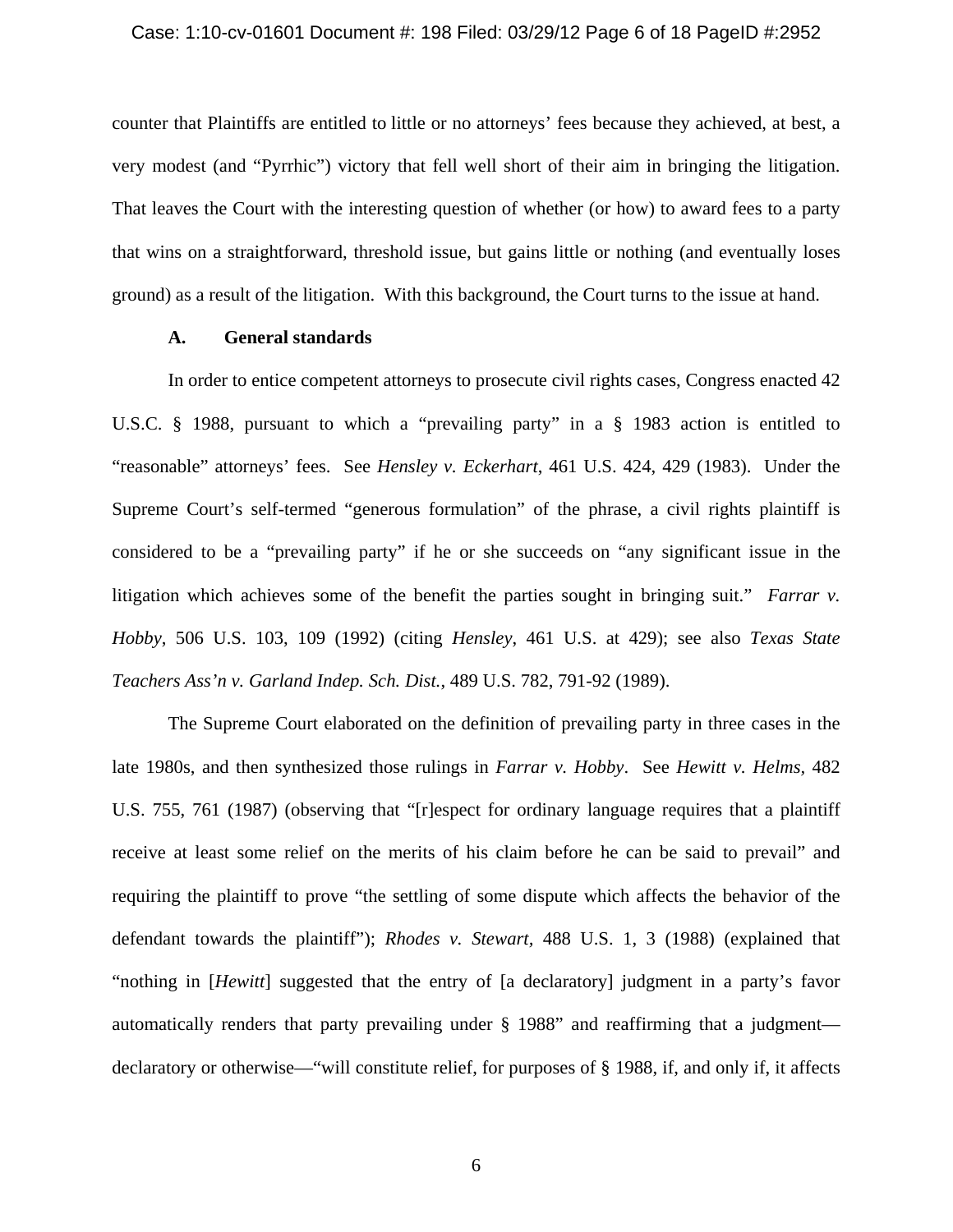### Case: 1:10-cv-01601 Document #: 198 Filed: 03/29/12 Page 6 of 18 PageID #:2952

counter that Plaintiffs are entitled to little or no attorneys' fees because they achieved, at best, a very modest (and "Pyrrhic") victory that fell well short of their aim in bringing the litigation. That leaves the Court with the interesting question of whether (or how) to award fees to a party that wins on a straightforward, threshold issue, but gains little or nothing (and eventually loses ground) as a result of the litigation. With this background, the Court turns to the issue at hand.

# **A. General standards**

In order to entice competent attorneys to prosecute civil rights cases, Congress enacted 42 U.S.C. § 1988, pursuant to which a "prevailing party" in a § 1983 action is entitled to "reasonable" attorneys' fees. See *Hensley v. Eckerhart*, 461 U.S. 424, 429 (1983). Under the Supreme Court's self-termed "generous formulation" of the phrase, a civil rights plaintiff is considered to be a "prevailing party" if he or she succeeds on "any significant issue in the litigation which achieves some of the benefit the parties sought in bringing suit." *Farrar v. Hobby*, 506 U.S. 103, 109 (1992) (citing *Hensley*, 461 U.S. at 429); see also *Texas State Teachers Ass'n v. Garland Indep. Sch. Dist.*, 489 U.S. 782, 791-92 (1989).

The Supreme Court elaborated on the definition of prevailing party in three cases in the late 1980s, and then synthesized those rulings in *Farrar v. Hobby*. See *Hewitt v. Helms,* 482 U.S. 755, 761 (1987) (observing that "[r]espect for ordinary language requires that a plaintiff receive at least some relief on the merits of his claim before he can be said to prevail" and requiring the plaintiff to prove "the settling of some dispute which affects the behavior of the defendant towards the plaintiff"); *Rhodes v. Stewart,* 488 U.S. 1, 3 (1988) (explained that "nothing in [*Hewitt*] suggested that the entry of [a declaratory] judgment in a party's favor automatically renders that party prevailing under § 1988" and reaffirming that a judgment declaratory or otherwise—"will constitute relief, for purposes of § 1988, if, and only if, it affects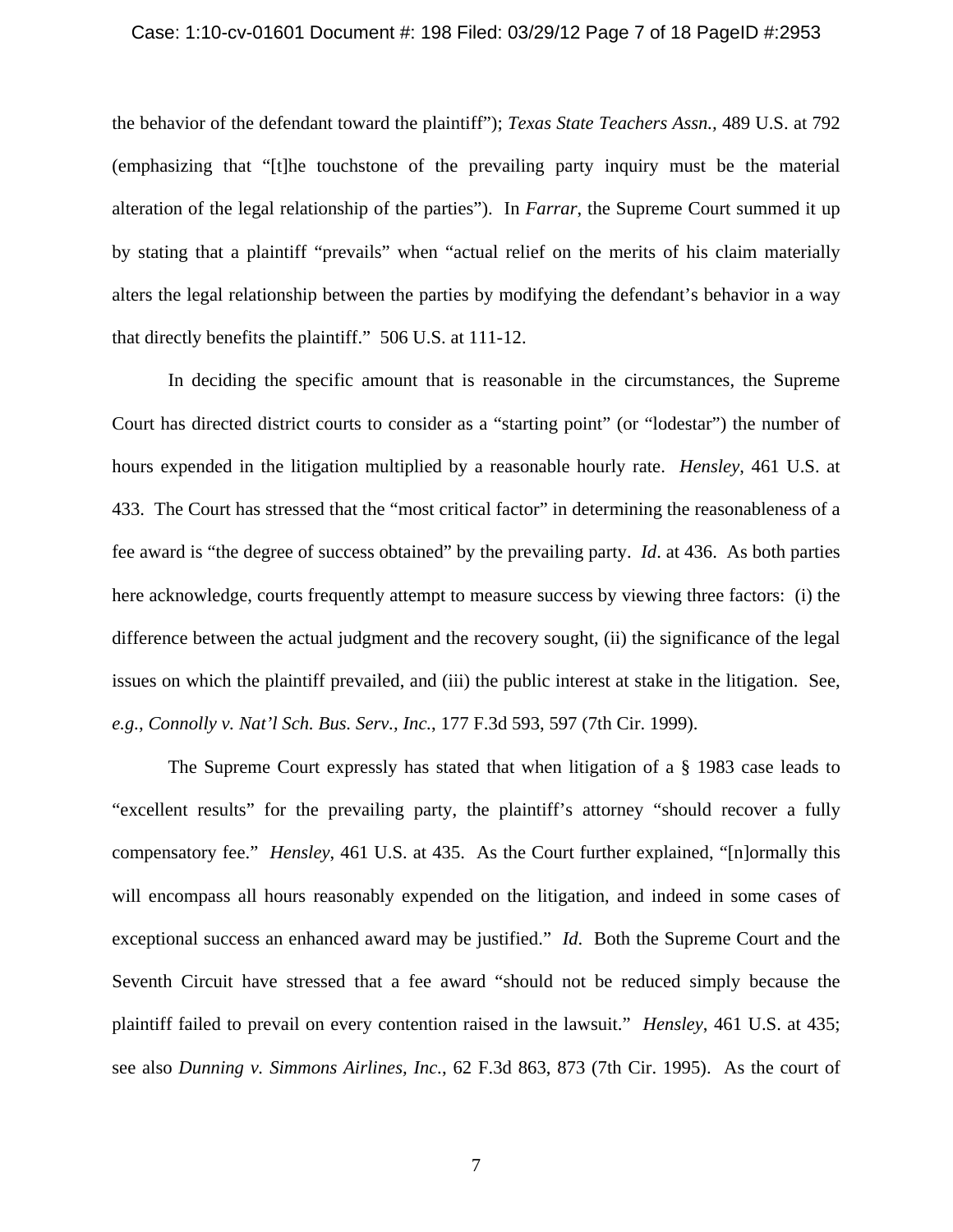#### Case: 1:10-cv-01601 Document #: 198 Filed: 03/29/12 Page 7 of 18 PageID #:2953

the behavior of the defendant toward the plaintiff"); *Texas State Teachers Assn.,* 489 U.S. at 792 (emphasizing that "[t]he touchstone of the prevailing party inquiry must be the material alteration of the legal relationship of the parties"). In *Farrar*, the Supreme Court summed it up by stating that a plaintiff "prevails" when "actual relief on the merits of his claim materially alters the legal relationship between the parties by modifying the defendant's behavior in a way that directly benefits the plaintiff." 506 U.S. at 111-12.

In deciding the specific amount that is reasonable in the circumstances, the Supreme Court has directed district courts to consider as a "starting point" (or "lodestar") the number of hours expended in the litigation multiplied by a reasonable hourly rate. *Hensley*, 461 U.S. at 433. The Court has stressed that the "most critical factor" in determining the reasonableness of a fee award is "the degree of success obtained" by the prevailing party. *Id*. at 436. As both parties here acknowledge, courts frequently attempt to measure success by viewing three factors: (i) the difference between the actual judgment and the recovery sought, (ii) the significance of the legal issues on which the plaintiff prevailed, and (iii) the public interest at stake in the litigation. See, *e.g.*, *Connolly v. Nat'l Sch. Bus. Serv., Inc.*, 177 F.3d 593, 597 (7th Cir. 1999).

The Supreme Court expressly has stated that when litigation of a § 1983 case leads to "excellent results" for the prevailing party, the plaintiff's attorney "should recover a fully compensatory fee." *Hensley*, 461 U.S. at 435. As the Court further explained, "[n]ormally this will encompass all hours reasonably expended on the litigation, and indeed in some cases of exceptional success an enhanced award may be justified." *Id*. Both the Supreme Court and the Seventh Circuit have stressed that a fee award "should not be reduced simply because the plaintiff failed to prevail on every contention raised in the lawsuit." *Hensley*, 461 U.S. at 435; see also *Dunning v. Simmons Airlines, Inc.*, 62 F.3d 863, 873 (7th Cir. 1995). As the court of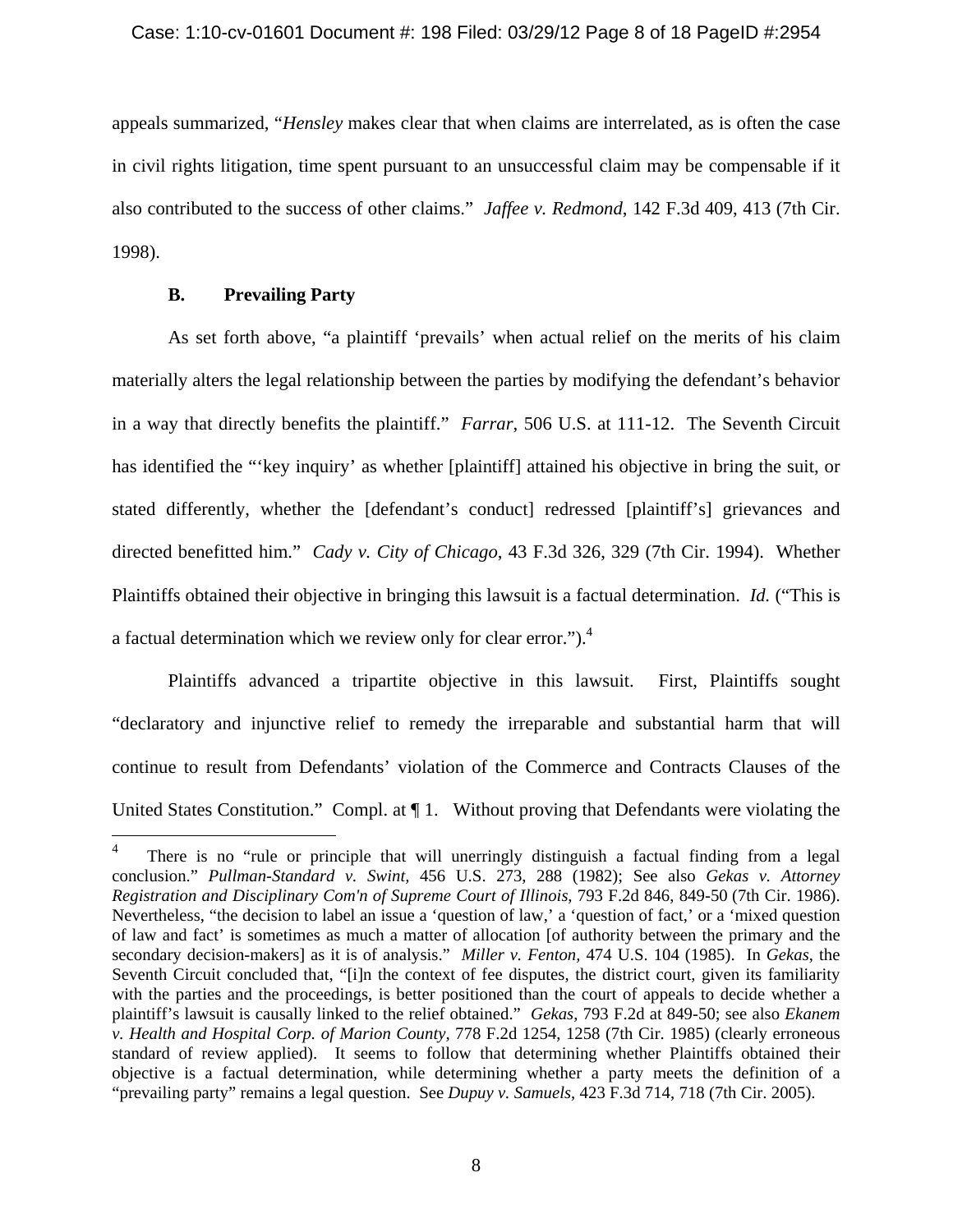appeals summarized, "*Hensley* makes clear that when claims are interrelated, as is often the case in civil rights litigation, time spent pursuant to an unsuccessful claim may be compensable if it also contributed to the success of other claims." *Jaffee v. Redmond*, 142 F.3d 409, 413 (7th Cir. 1998).

# **B. Prevailing Party**

1

As set forth above, "a plaintiff 'prevails' when actual relief on the merits of his claim materially alters the legal relationship between the parties by modifying the defendant's behavior in a way that directly benefits the plaintiff." *Farrar*, 506 U.S. at 111-12. The Seventh Circuit has identified the "'key inquiry' as whether [plaintiff] attained his objective in bring the suit, or stated differently, whether the [defendant's conduct] redressed [plaintiff's] grievances and directed benefitted him." *Cady v. City of Chicago*, 43 F.3d 326, 329 (7th Cir. 1994). Whether Plaintiffs obtained their objective in bringing this lawsuit is a factual determination. *Id.* ("This is a factual determination which we review only for clear error." $)$ .<sup>4</sup>

Plaintiffs advanced a tripartite objective in this lawsuit. First, Plaintiffs sought "declaratory and injunctive relief to remedy the irreparable and substantial harm that will continue to result from Defendants' violation of the Commerce and Contracts Clauses of the United States Constitution." Compl. at ¶ 1. Without proving that Defendants were violating the

<sup>4</sup> There is no "rule or principle that will unerringly distinguish a factual finding from a legal conclusion." *Pullman-Standard v. Swint,* 456 U.S. 273, 288 (1982); See also *Gekas v. Attorney Registration and Disciplinary Com'n of Supreme Court of Illinois*, 793 F.2d 846, 849-50 (7th Cir. 1986). Nevertheless, "the decision to label an issue a 'question of law,' a 'question of fact,' or a 'mixed question of law and fact' is sometimes as much a matter of allocation [of authority between the primary and the secondary decision-makers] as it is of analysis." *Miller v. Fenton,* 474 U.S. 104 (1985). In *Gekas*, the Seventh Circuit concluded that, "[i]n the context of fee disputes, the district court, given its familiarity with the parties and the proceedings, is better positioned than the court of appeals to decide whether a plaintiff's lawsuit is causally linked to the relief obtained." *Gekas*, 793 F.2d at 849-50; see also *Ekanem v. Health and Hospital Corp. of Marion County,* 778 F.2d 1254, 1258 (7th Cir. 1985) (clearly erroneous standard of review applied). It seems to follow that determining whether Plaintiffs obtained their objective is a factual determination, while determining whether a party meets the definition of a "prevailing party" remains a legal question. See *Dupuy v. Samuels*, 423 F.3d 714, 718 (7th Cir. 2005).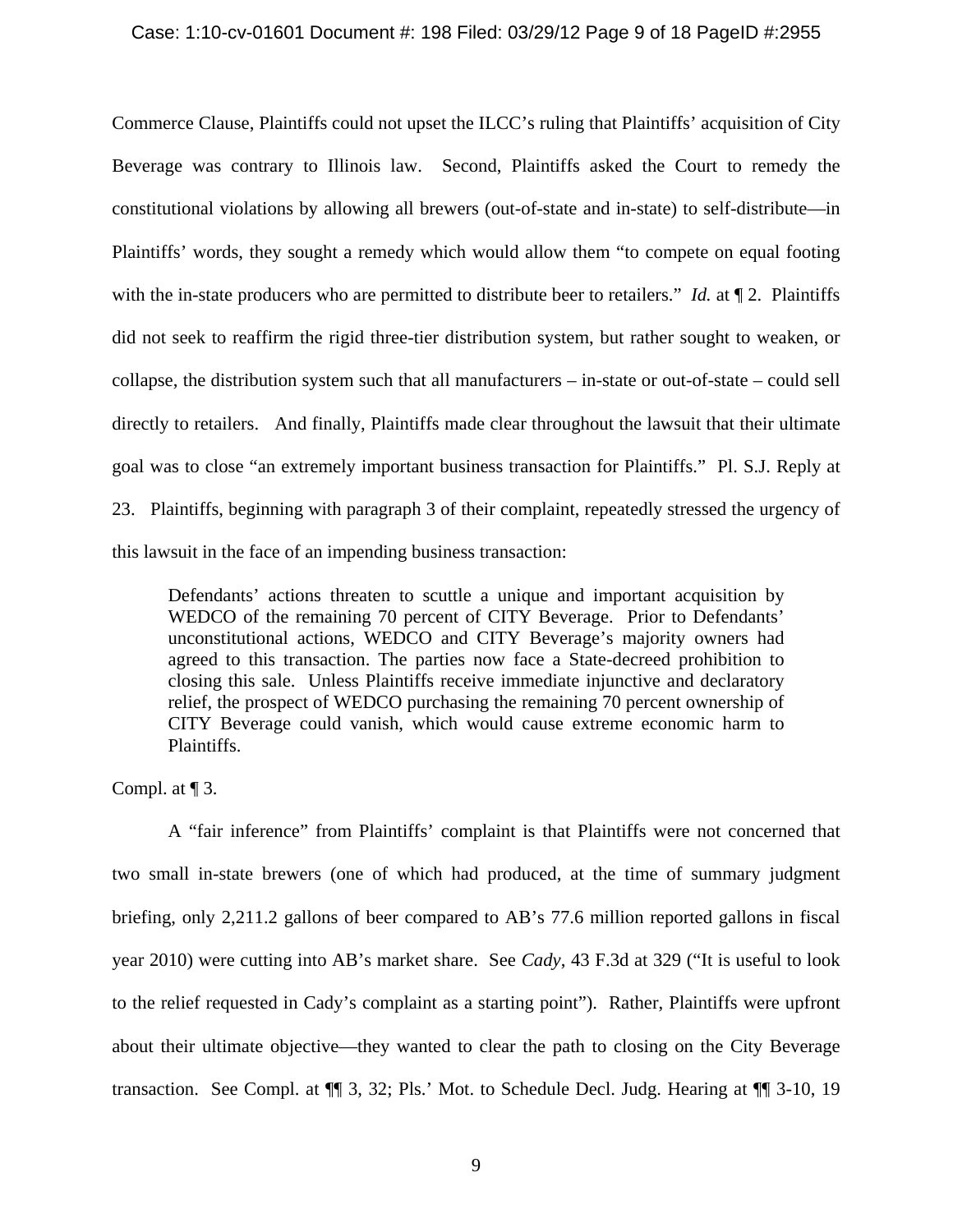### Case: 1:10-cv-01601 Document #: 198 Filed: 03/29/12 Page 9 of 18 PageID #:2955

Commerce Clause, Plaintiffs could not upset the ILCC's ruling that Plaintiffs' acquisition of City Beverage was contrary to Illinois law. Second, Plaintiffs asked the Court to remedy the constitutional violations by allowing all brewers (out-of-state and in-state) to self-distribute—in Plaintiffs' words, they sought a remedy which would allow them "to compete on equal footing with the in-state producers who are permitted to distribute beer to retailers." *Id.* at  $\P$  2. Plaintiffs did not seek to reaffirm the rigid three-tier distribution system, but rather sought to weaken, or collapse, the distribution system such that all manufacturers – in-state or out-of-state – could sell directly to retailers. And finally, Plaintiffs made clear throughout the lawsuit that their ultimate goal was to close "an extremely important business transaction for Plaintiffs." Pl. S.J. Reply at 23. Plaintiffs, beginning with paragraph 3 of their complaint, repeatedly stressed the urgency of this lawsuit in the face of an impending business transaction:

Defendants' actions threaten to scuttle a unique and important acquisition by WEDCO of the remaining 70 percent of CITY Beverage. Prior to Defendants' unconstitutional actions, WEDCO and CITY Beverage's majority owners had agreed to this transaction. The parties now face a State-decreed prohibition to closing this sale. Unless Plaintiffs receive immediate injunctive and declaratory relief, the prospect of WEDCO purchasing the remaining 70 percent ownership of CITY Beverage could vanish, which would cause extreme economic harm to Plaintiffs.

Compl. at ¶ 3.

 A "fair inference" from Plaintiffs' complaint is that Plaintiffs were not concerned that two small in-state brewers (one of which had produced, at the time of summary judgment briefing, only 2,211.2 gallons of beer compared to AB's 77.6 million reported gallons in fiscal year 2010) were cutting into AB's market share. See *Cady*, 43 F.3d at 329 ("It is useful to look to the relief requested in Cady's complaint as a starting point"). Rather, Plaintiffs were upfront about their ultimate objective—they wanted to clear the path to closing on the City Beverage transaction. See Compl. at ¶¶ 3, 32; Pls.' Mot. to Schedule Decl. Judg. Hearing at ¶¶ 3-10, 19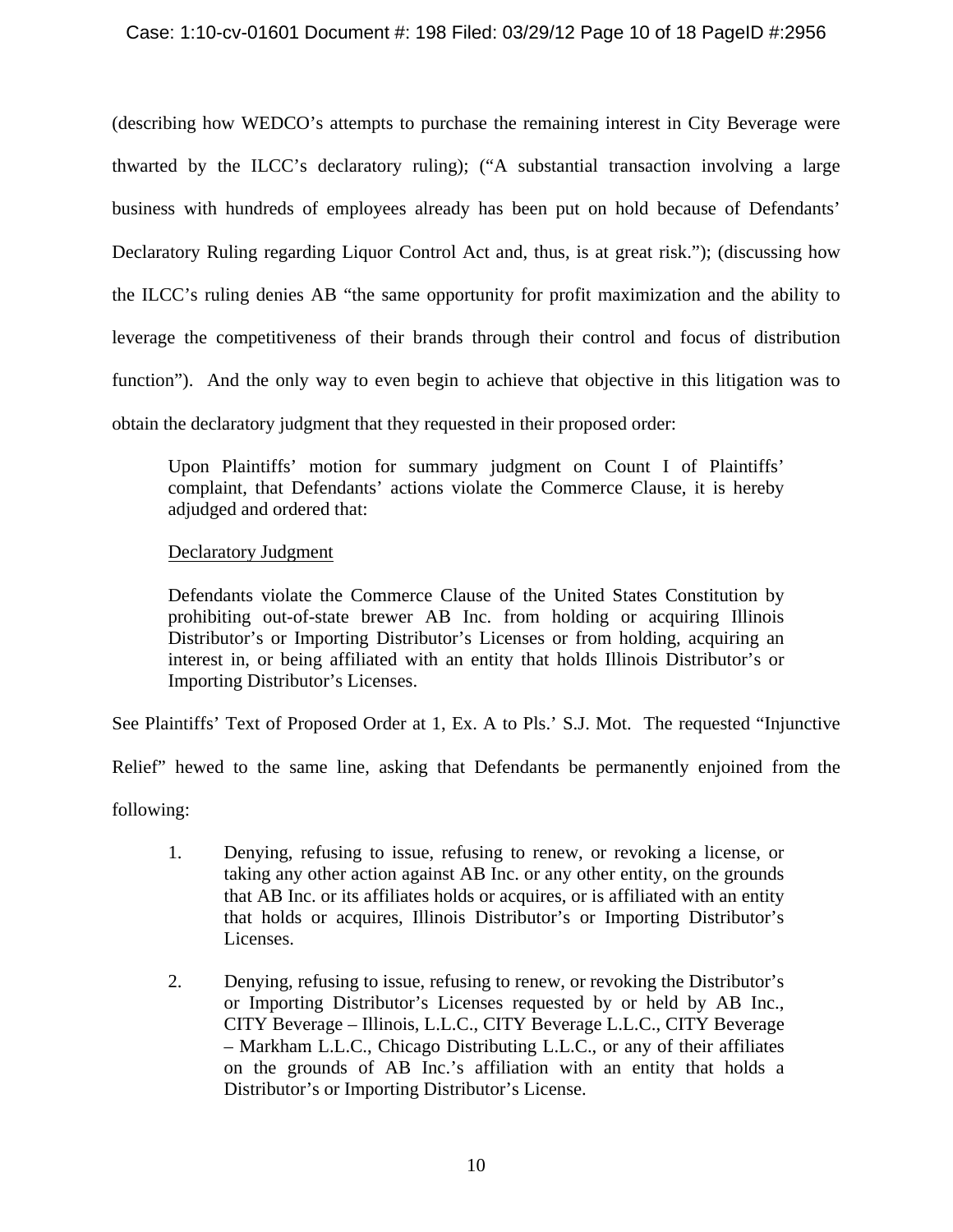# Case: 1:10-cv-01601 Document #: 198 Filed: 03/29/12 Page 10 of 18 PageID #:2956

(describing how WEDCO's attempts to purchase the remaining interest in City Beverage were thwarted by the ILCC's declaratory ruling); ("A substantial transaction involving a large business with hundreds of employees already has been put on hold because of Defendants' Declaratory Ruling regarding Liquor Control Act and, thus, is at great risk."); (discussing how the ILCC's ruling denies AB "the same opportunity for profit maximization and the ability to leverage the competitiveness of their brands through their control and focus of distribution function"). And the only way to even begin to achieve that objective in this litigation was to obtain the declaratory judgment that they requested in their proposed order:

Upon Plaintiffs' motion for summary judgment on Count I of Plaintiffs' complaint, that Defendants' actions violate the Commerce Clause, it is hereby adjudged and ordered that:

# Declaratory Judgment

Defendants violate the Commerce Clause of the United States Constitution by prohibiting out-of-state brewer AB Inc. from holding or acquiring Illinois Distributor's or Importing Distributor's Licenses or from holding, acquiring an interest in, or being affiliated with an entity that holds Illinois Distributor's or Importing Distributor's Licenses.

See Plaintiffs' Text of Proposed Order at 1, Ex. A to Pls.' S.J. Mot. The requested "Injunctive

Relief" hewed to the same line, asking that Defendants be permanently enjoined from the

following:

- 1. Denying, refusing to issue, refusing to renew, or revoking a license, or taking any other action against AB Inc. or any other entity, on the grounds that AB Inc. or its affiliates holds or acquires, or is affiliated with an entity that holds or acquires, Illinois Distributor's or Importing Distributor's Licenses.
- 2. Denying, refusing to issue, refusing to renew, or revoking the Distributor's or Importing Distributor's Licenses requested by or held by AB Inc., CITY Beverage – Illinois, L.L.C., CITY Beverage L.L.C., CITY Beverage – Markham L.L.C., Chicago Distributing L.L.C., or any of their affiliates on the grounds of AB Inc.'s affiliation with an entity that holds a Distributor's or Importing Distributor's License.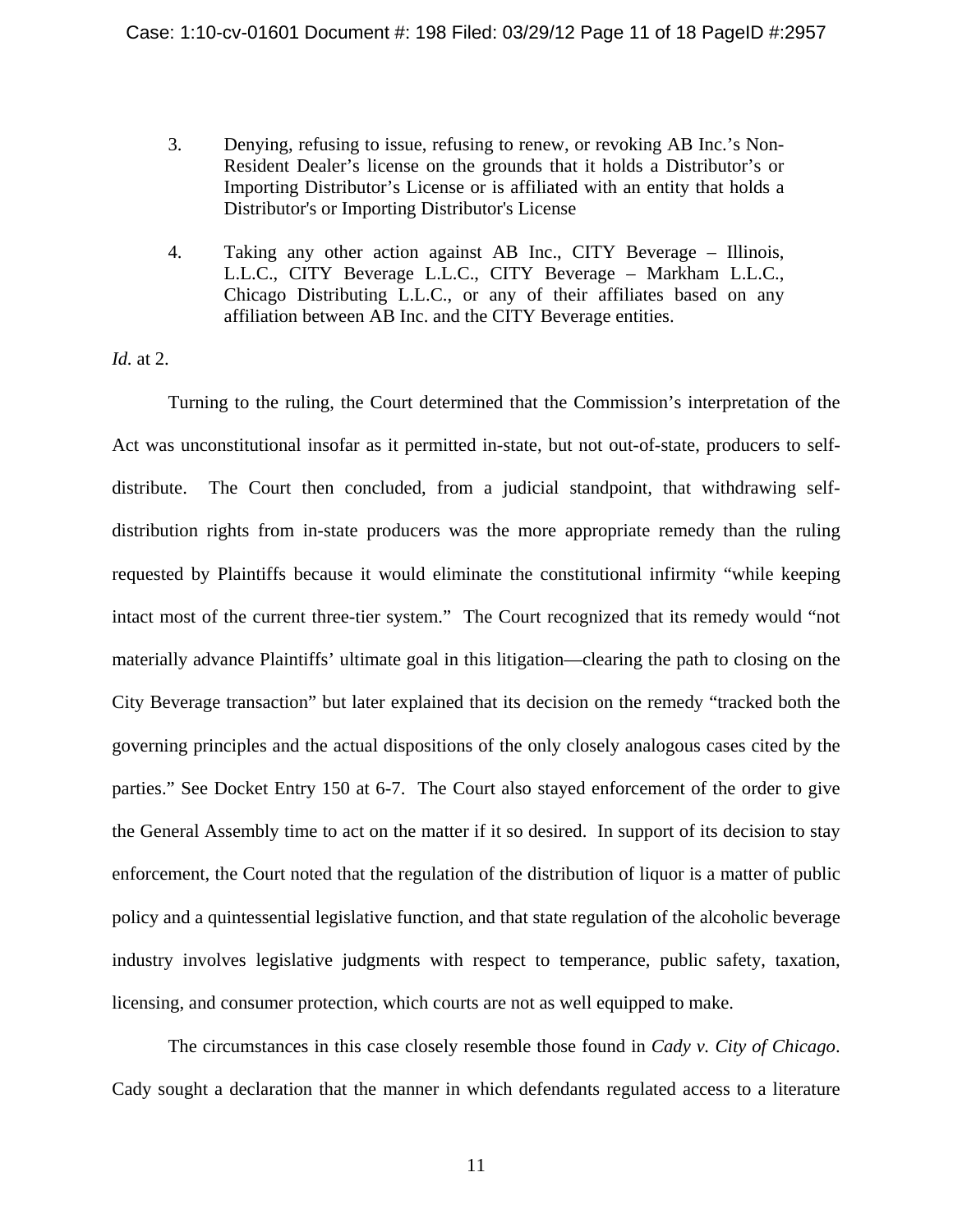- 3. Denying, refusing to issue, refusing to renew, or revoking AB Inc.'s Non-Resident Dealer's license on the grounds that it holds a Distributor's or Importing Distributor's License or is affiliated with an entity that holds a Distributor's or Importing Distributor's License
- 4. Taking any other action against AB Inc., CITY Beverage Illinois, L.L.C., CITY Beverage L.L.C., CITY Beverage – Markham L.L.C., Chicago Distributing L.L.C., or any of their affiliates based on any affiliation between AB Inc. and the CITY Beverage entities.

*Id.* at 2.

Turning to the ruling, the Court determined that the Commission's interpretation of the Act was unconstitutional insofar as it permitted in-state, but not out-of-state, producers to selfdistribute. The Court then concluded, from a judicial standpoint, that withdrawing selfdistribution rights from in-state producers was the more appropriate remedy than the ruling requested by Plaintiffs because it would eliminate the constitutional infirmity "while keeping intact most of the current three-tier system." The Court recognized that its remedy would "not materially advance Plaintiffs' ultimate goal in this litigation—clearing the path to closing on the City Beverage transaction" but later explained that its decision on the remedy "tracked both the governing principles and the actual dispositions of the only closely analogous cases cited by the parties." See Docket Entry 150 at 6-7. The Court also stayed enforcement of the order to give the General Assembly time to act on the matter if it so desired. In support of its decision to stay enforcement, the Court noted that the regulation of the distribution of liquor is a matter of public policy and a quintessential legislative function, and that state regulation of the alcoholic beverage industry involves legislative judgments with respect to temperance, public safety, taxation, licensing, and consumer protection, which courts are not as well equipped to make.

The circumstances in this case closely resemble those found in *Cady v. City of Chicago*. Cady sought a declaration that the manner in which defendants regulated access to a literature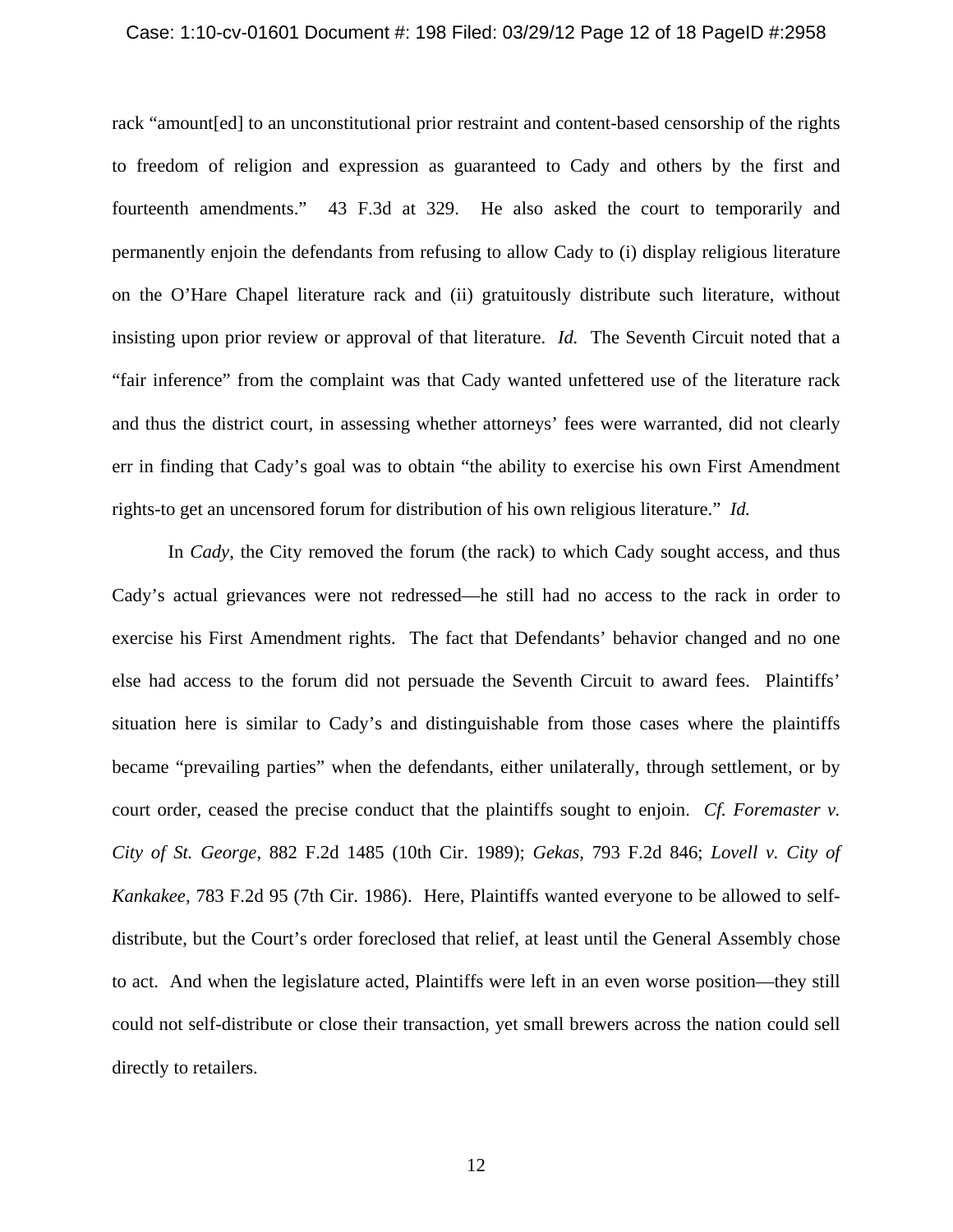#### Case: 1:10-cv-01601 Document #: 198 Filed: 03/29/12 Page 12 of 18 PageID #:2958

rack "amount[ed] to an unconstitutional prior restraint and content-based censorship of the rights to freedom of religion and expression as guaranteed to Cady and others by the first and fourteenth amendments." 43 F.3d at 329. He also asked the court to temporarily and permanently enjoin the defendants from refusing to allow Cady to (i) display religious literature on the O'Hare Chapel literature rack and (ii) gratuitously distribute such literature, without insisting upon prior review or approval of that literature. *Id.* The Seventh Circuit noted that a "fair inference" from the complaint was that Cady wanted unfettered use of the literature rack and thus the district court, in assessing whether attorneys' fees were warranted, did not clearly err in finding that Cady's goal was to obtain "the ability to exercise his own First Amendment rights-to get an uncensored forum for distribution of his own religious literature." *Id.*

In *Cady*, the City removed the forum (the rack) to which Cady sought access, and thus Cady's actual grievances were not redressed—he still had no access to the rack in order to exercise his First Amendment rights. The fact that Defendants' behavior changed and no one else had access to the forum did not persuade the Seventh Circuit to award fees. Plaintiffs' situation here is similar to Cady's and distinguishable from those cases where the plaintiffs became "prevailing parties" when the defendants, either unilaterally, through settlement, or by court order, ceased the precise conduct that the plaintiffs sought to enjoin. *Cf. Foremaster v. City of St. George,* 882 F.2d 1485 (10th Cir. 1989); *Gekas,* 793 F.2d 846; *Lovell v. City of Kankakee,* 783 F.2d 95 (7th Cir. 1986). Here, Plaintiffs wanted everyone to be allowed to selfdistribute, but the Court's order foreclosed that relief, at least until the General Assembly chose to act. And when the legislature acted, Plaintiffs were left in an even worse position—they still could not self-distribute or close their transaction, yet small brewers across the nation could sell directly to retailers.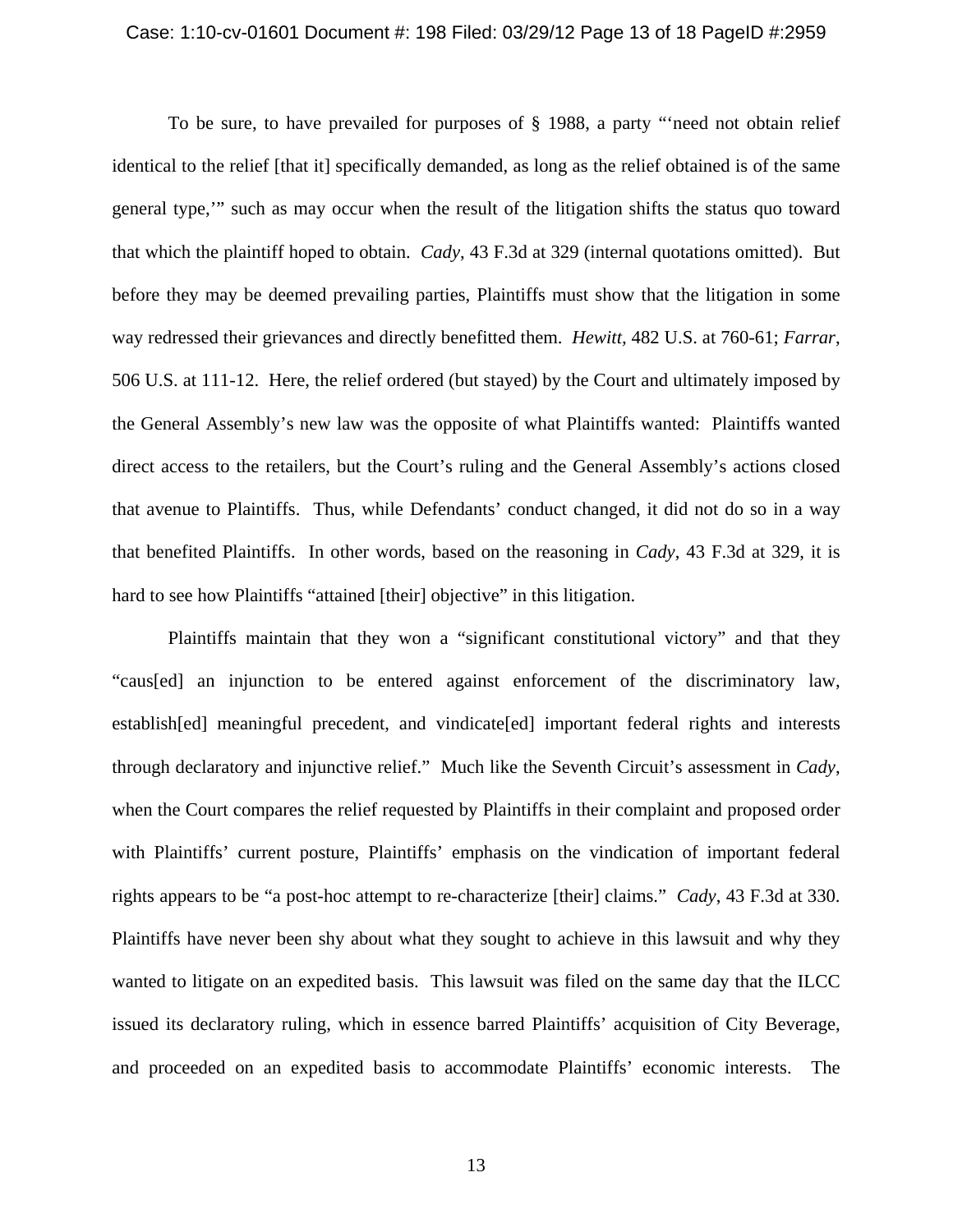#### Case: 1:10-cv-01601 Document #: 198 Filed: 03/29/12 Page 13 of 18 PageID #:2959

To be sure, to have prevailed for purposes of § 1988, a party "'need not obtain relief identical to the relief [that it] specifically demanded, as long as the relief obtained is of the same general type,'" such as may occur when the result of the litigation shifts the status quo toward that which the plaintiff hoped to obtain. *Cady*, 43 F.3d at 329 (internal quotations omitted). But before they may be deemed prevailing parties, Plaintiffs must show that the litigation in some way redressed their grievances and directly benefitted them. *Hewitt,* 482 U.S. at 760-61; *Farrar*, 506 U.S. at 111-12. Here, the relief ordered (but stayed) by the Court and ultimately imposed by the General Assembly's new law was the opposite of what Plaintiffs wanted: Plaintiffs wanted direct access to the retailers, but the Court's ruling and the General Assembly's actions closed that avenue to Plaintiffs. Thus, while Defendants' conduct changed, it did not do so in a way that benefited Plaintiffs. In other words, based on the reasoning in *Cady*, 43 F.3d at 329, it is hard to see how Plaintiffs "attained [their] objective" in this litigation.

 Plaintiffs maintain that they won a "significant constitutional victory" and that they "caus[ed] an injunction to be entered against enforcement of the discriminatory law, establish[ed] meaningful precedent, and vindicate[ed] important federal rights and interests through declaratory and injunctive relief." Much like the Seventh Circuit's assessment in *Cady*, when the Court compares the relief requested by Plaintiffs in their complaint and proposed order with Plaintiffs' current posture, Plaintiffs' emphasis on the vindication of important federal rights appears to be "a post-hoc attempt to re-characterize [their] claims." *Cady*, 43 F.3d at 330. Plaintiffs have never been shy about what they sought to achieve in this lawsuit and why they wanted to litigate on an expedited basis. This lawsuit was filed on the same day that the ILCC issued its declaratory ruling, which in essence barred Plaintiffs' acquisition of City Beverage, and proceeded on an expedited basis to accommodate Plaintiffs' economic interests. The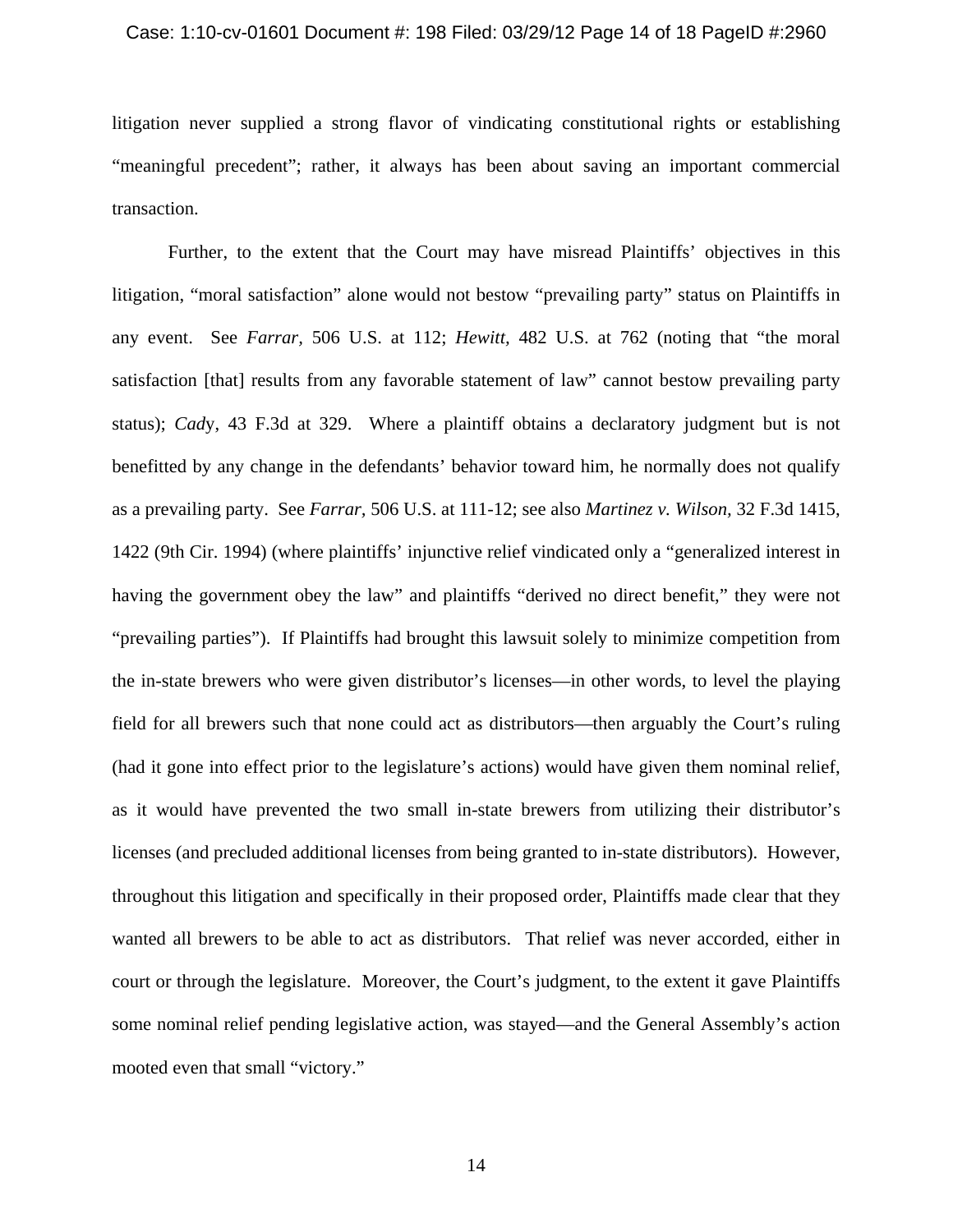#### Case: 1:10-cv-01601 Document #: 198 Filed: 03/29/12 Page 14 of 18 PageID #:2960

litigation never supplied a strong flavor of vindicating constitutional rights or establishing "meaningful precedent"; rather, it always has been about saving an important commercial transaction.

Further, to the extent that the Court may have misread Plaintiffs' objectives in this litigation, "moral satisfaction" alone would not bestow "prevailing party" status on Plaintiffs in any event. See *Farrar,* 506 U.S. at 112; *Hewitt,* 482 U.S. at 762 (noting that "the moral satisfaction [that] results from any favorable statement of law" cannot bestow prevailing party status); *Cad*y, 43 F.3d at 329. Where a plaintiff obtains a declaratory judgment but is not benefitted by any change in the defendants' behavior toward him, he normally does not qualify as a prevailing party. See *Farrar,* 506 U.S. at 111-12; see also *Martinez v. Wilson,* 32 F.3d 1415, 1422 (9th Cir. 1994) (where plaintiffs' injunctive relief vindicated only a "generalized interest in having the government obey the law" and plaintiffs "derived no direct benefit," they were not "prevailing parties"). If Plaintiffs had brought this lawsuit solely to minimize competition from the in-state brewers who were given distributor's licenses—in other words, to level the playing field for all brewers such that none could act as distributors—then arguably the Court's ruling (had it gone into effect prior to the legislature's actions) would have given them nominal relief, as it would have prevented the two small in-state brewers from utilizing their distributor's licenses (and precluded additional licenses from being granted to in-state distributors). However, throughout this litigation and specifically in their proposed order, Plaintiffs made clear that they wanted all brewers to be able to act as distributors. That relief was never accorded, either in court or through the legislature. Moreover, the Court's judgment, to the extent it gave Plaintiffs some nominal relief pending legislative action, was stayed—and the General Assembly's action mooted even that small "victory."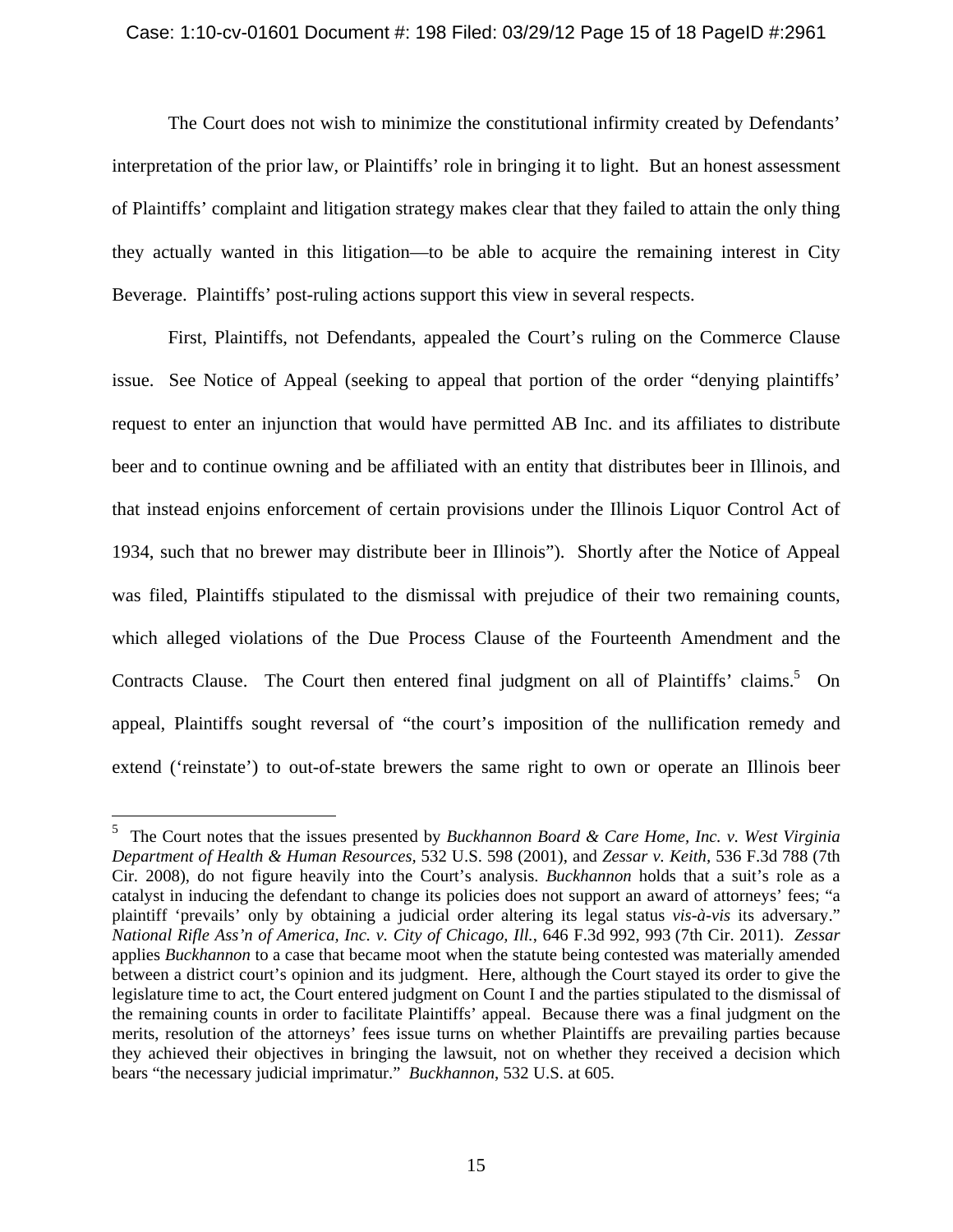### Case: 1:10-cv-01601 Document #: 198 Filed: 03/29/12 Page 15 of 18 PageID #:2961

The Court does not wish to minimize the constitutional infirmity created by Defendants' interpretation of the prior law, or Plaintiffs' role in bringing it to light. But an honest assessment of Plaintiffs' complaint and litigation strategy makes clear that they failed to attain the only thing they actually wanted in this litigation—to be able to acquire the remaining interest in City Beverage. Plaintiffs' post-ruling actions support this view in several respects.

First, Plaintiffs, not Defendants, appealed the Court's ruling on the Commerce Clause issue. See Notice of Appeal (seeking to appeal that portion of the order "denying plaintiffs' request to enter an injunction that would have permitted AB Inc. and its affiliates to distribute beer and to continue owning and be affiliated with an entity that distributes beer in Illinois, and that instead enjoins enforcement of certain provisions under the Illinois Liquor Control Act of 1934, such that no brewer may distribute beer in Illinois"). Shortly after the Notice of Appeal was filed, Plaintiffs stipulated to the dismissal with prejudice of their two remaining counts, which alleged violations of the Due Process Clause of the Fourteenth Amendment and the Contracts Clause. The Court then entered final judgment on all of Plaintiffs' claims.<sup>5</sup> On appeal, Plaintiffs sought reversal of "the court's imposition of the nullification remedy and extend ('reinstate') to out-of-state brewers the same right to own or operate an Illinois beer

1

<sup>5</sup> The Court notes that the issues presented by *Buckhannon Board & Care Home, Inc. v. West Virginia Department of Health & Human Resources,* 532 U.S. 598 (2001), and *Zessar v. Keith,* 536 F.3d 788 (7th Cir. 2008), do not figure heavily into the Court's analysis. *Buckhannon* holds that a suit's role as a catalyst in inducing the defendant to change its policies does not support an award of attorneys' fees; "a plaintiff 'prevails' only by obtaining a judicial order altering its legal status *vis-à-vis* its adversary." *National Rifle Ass'n of America, Inc. v. City of Chicago, Ill.*, 646 F.3d 992, 993 (7th Cir. 2011). *Zessar* applies *Buckhannon* to a case that became moot when the statute being contested was materially amended between a district court's opinion and its judgment. Here, although the Court stayed its order to give the legislature time to act, the Court entered judgment on Count I and the parties stipulated to the dismissal of the remaining counts in order to facilitate Plaintiffs' appeal. Because there was a final judgment on the merits, resolution of the attorneys' fees issue turns on whether Plaintiffs are prevailing parties because they achieved their objectives in bringing the lawsuit, not on whether they received a decision which bears "the necessary judicial imprimatur." *Buckhannon*, 532 U.S. at 605.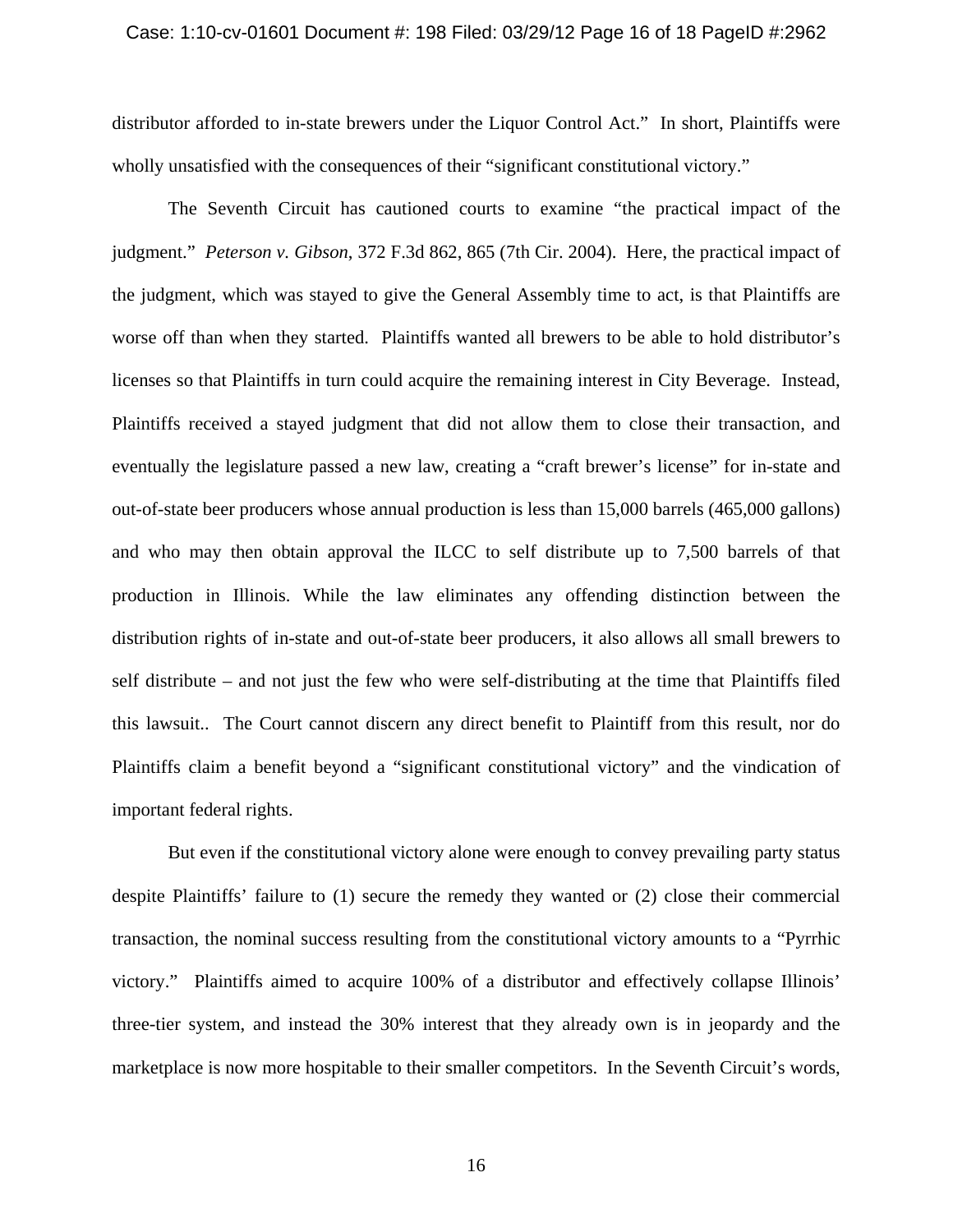#### Case: 1:10-cv-01601 Document #: 198 Filed: 03/29/12 Page 16 of 18 PageID #:2962

distributor afforded to in-state brewers under the Liquor Control Act." In short, Plaintiffs were wholly unsatisfied with the consequences of their "significant constitutional victory."

The Seventh Circuit has cautioned courts to examine "the practical impact of the judgment." *Peterson v. Gibson*, 372 F.3d 862, 865 (7th Cir. 2004). Here, the practical impact of the judgment, which was stayed to give the General Assembly time to act, is that Plaintiffs are worse off than when they started. Plaintiffs wanted all brewers to be able to hold distributor's licenses so that Plaintiffs in turn could acquire the remaining interest in City Beverage. Instead, Plaintiffs received a stayed judgment that did not allow them to close their transaction, and eventually the legislature passed a new law, creating a "craft brewer's license" for in-state and out-of-state beer producers whose annual production is less than 15,000 barrels (465,000 gallons) and who may then obtain approval the ILCC to self distribute up to 7,500 barrels of that production in Illinois. While the law eliminates any offending distinction between the distribution rights of in-state and out-of-state beer producers, it also allows all small brewers to self distribute – and not just the few who were self-distributing at the time that Plaintiffs filed this lawsuit.. The Court cannot discern any direct benefit to Plaintiff from this result, nor do Plaintiffs claim a benefit beyond a "significant constitutional victory" and the vindication of important federal rights.

But even if the constitutional victory alone were enough to convey prevailing party status despite Plaintiffs' failure to (1) secure the remedy they wanted or (2) close their commercial transaction, the nominal success resulting from the constitutional victory amounts to a "Pyrrhic victory." Plaintiffs aimed to acquire 100% of a distributor and effectively collapse Illinois' three-tier system, and instead the 30% interest that they already own is in jeopardy and the marketplace is now more hospitable to their smaller competitors. In the Seventh Circuit's words,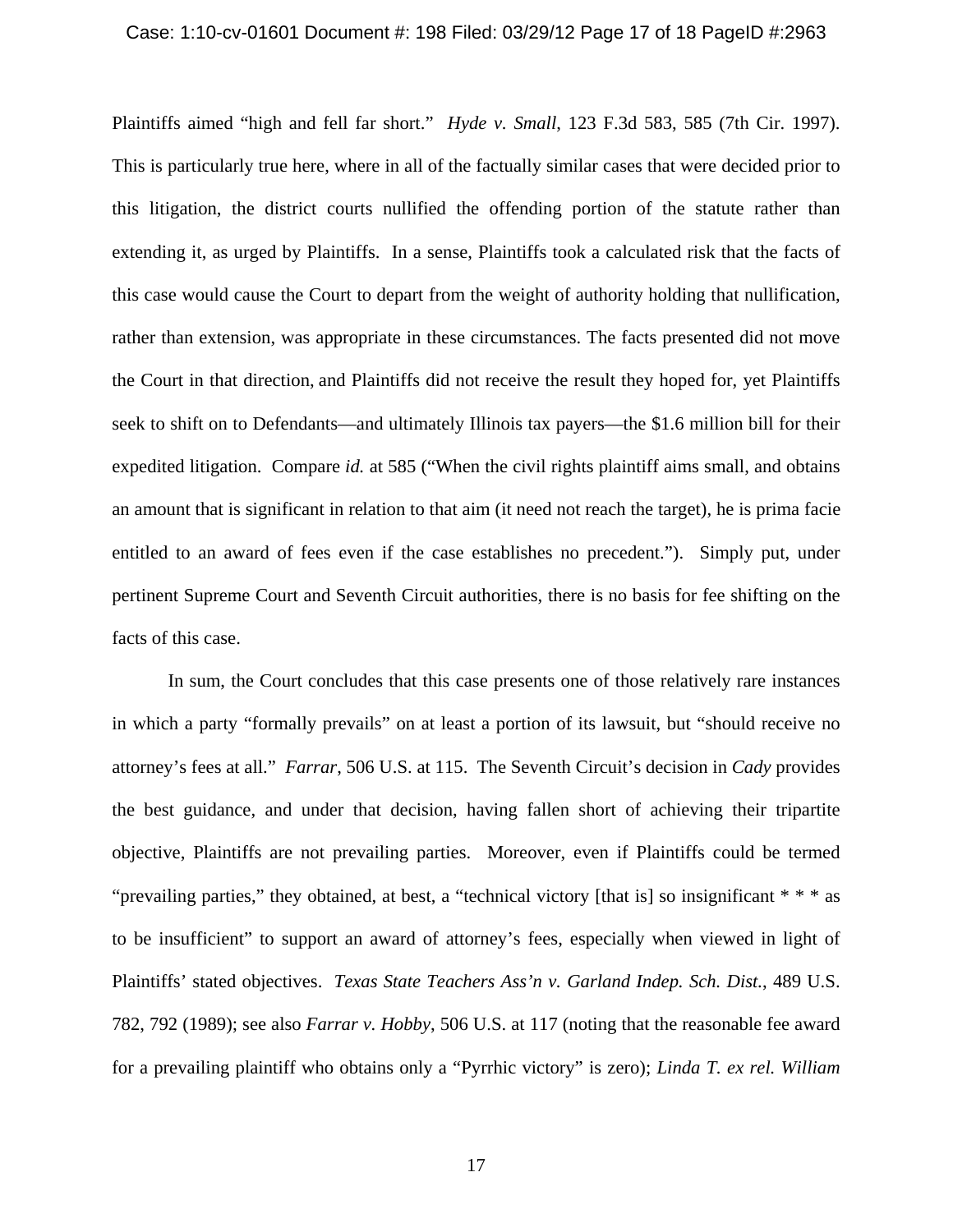#### Case: 1:10-cv-01601 Document #: 198 Filed: 03/29/12 Page 17 of 18 PageID #:2963

Plaintiffs aimed "high and fell far short." *Hyde v. Small*, 123 F.3d 583, 585 (7th Cir. 1997). This is particularly true here, where in all of the factually similar cases that were decided prior to this litigation, the district courts nullified the offending portion of the statute rather than extending it, as urged by Plaintiffs. In a sense, Plaintiffs took a calculated risk that the facts of this case would cause the Court to depart from the weight of authority holding that nullification, rather than extension, was appropriate in these circumstances. The facts presented did not move the Court in that direction, and Plaintiffs did not receive the result they hoped for, yet Plaintiffs seek to shift on to Defendants—and ultimately Illinois tax payers—the \$1.6 million bill for their expedited litigation. Compare *id.* at 585 ("When the civil rights plaintiff aims small, and obtains an amount that is significant in relation to that aim (it need not reach the target), he is prima facie entitled to an award of fees even if the case establishes no precedent."). Simply put, under pertinent Supreme Court and Seventh Circuit authorities, there is no basis for fee shifting on the facts of this case.

In sum, the Court concludes that this case presents one of those relatively rare instances in which a party "formally prevails" on at least a portion of its lawsuit, but "should receive no attorney's fees at all." *Farrar*, 506 U.S. at 115. The Seventh Circuit's decision in *Cady* provides the best guidance, and under that decision, having fallen short of achieving their tripartite objective, Plaintiffs are not prevailing parties. Moreover, even if Plaintiffs could be termed "prevailing parties," they obtained, at best, a "technical victory [that is] so insignificant \* \* \* as to be insufficient" to support an award of attorney's fees, especially when viewed in light of Plaintiffs' stated objectives. *Texas State Teachers Ass'n v. Garland Indep. Sch. Dist.*, 489 U.S. 782, 792 (1989); see also *Farrar v. Hobby*, 506 U.S. at 117 (noting that the reasonable fee award for a prevailing plaintiff who obtains only a "Pyrrhic victory" is zero); *Linda T. ex rel. William*